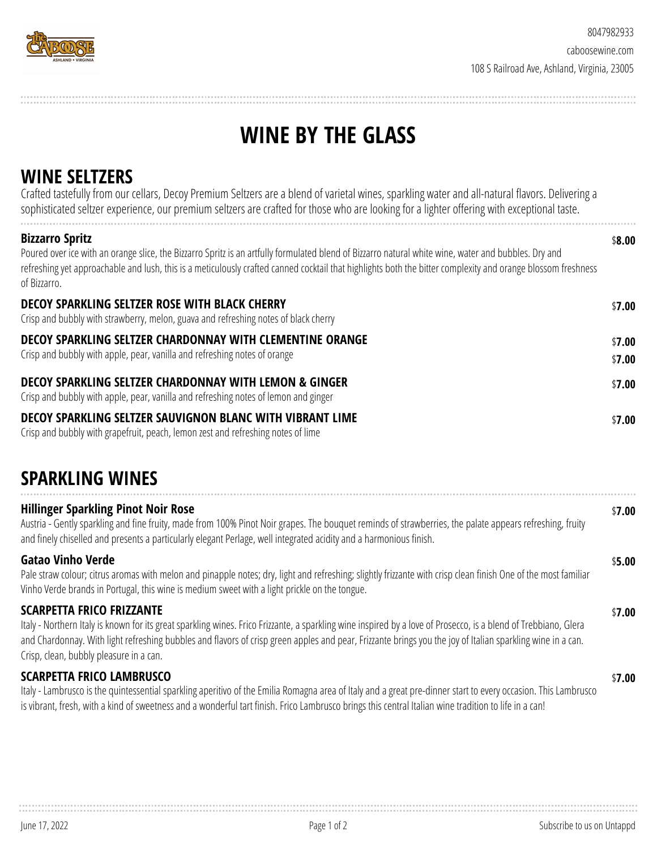

# **WINE BY THE GLASS**

# **WINE SELTZERS**

| Crafted tastefully from our cellars, Decoy Premium Seltzers are a blend of varietal wines, sparkling water and all-natural flavors. Delivering a<br>sophisticated seltzer experience, our premium seltzers are crafted for those who are looking for a lighter offering with exceptional taste.                                                                |                  |
|----------------------------------------------------------------------------------------------------------------------------------------------------------------------------------------------------------------------------------------------------------------------------------------------------------------------------------------------------------------|------------------|
| <b>Bizzarro Spritz</b><br>Poured over ice with an orange slice, the Bizzarro Spritz is an artfully formulated blend of Bizzarro natural white wine, water and bubbles. Dry and<br>refreshing yet approachable and lush, this is a meticulously crafted canned cocktail that highlights both the bitter complexity and orange blossom freshness<br>of Bizzarro. | \$8.00           |
| DECOY SPARKLING SELTZER ROSE WITH BLACK CHERRY<br>Crisp and bubbly with strawberry, melon, guava and refreshing notes of black cherry                                                                                                                                                                                                                          | \$7.00           |
| DECOY SPARKLING SELTZER CHARDONNAY WITH CLEMENTINE ORANGE<br>Crisp and bubbly with apple, pear, vanilla and refreshing notes of orange                                                                                                                                                                                                                         | \$7.00<br>\$7.00 |
| DECOY SPARKLING SELTZER CHARDONNAY WITH LEMON & GINGER<br>Crisp and bubbly with apple, pear, vanilla and refreshing notes of lemon and ginger                                                                                                                                                                                                                  | \$7.00           |
| DECOY SPARKLING SELTZER SAUVIGNON BLANC WITH VIBRANT LIME<br>Crisp and bubbly with grapefruit, peach, lemon zest and refreshing notes of lime                                                                                                                                                                                                                  | \$7.00           |

## **SPARKLING WINES**

| <b>Hillinger Sparkling Pinot Noir Rose</b><br>Austria - Gently sparkling and fine fruity, made from 100% Pinot Noir grapes. The bouquet reminds of strawberries, the palate appears refreshing, fruity<br>and finely chiselled and presents a particularly elegant Perlage, well integrated acidity and a harmonious finish.                                                                                 | \$7.00 |
|--------------------------------------------------------------------------------------------------------------------------------------------------------------------------------------------------------------------------------------------------------------------------------------------------------------------------------------------------------------------------------------------------------------|--------|
| <b>Gatao Vinho Verde</b><br>Pale straw colour; citrus aromas with melon and pinapple notes; dry, light and refreshing; slightly frizzante with crisp clean finish One of the most familiar<br>Vinho Verde brands in Portugal, this wine is medium sweet with a light prickle on the tongue.                                                                                                                  | \$5.00 |
| <b>SCARPETTA FRICO FRIZZANTE</b><br>Italy - Northern Italy is known for its great sparkling wines. Frico Frizzante, a sparkling wine inspired by a love of Prosecco, is a blend of Trebbiano, Glera<br>and Chardonnay. With light refreshing bubbles and flavors of crisp green apples and pear, Frizzante brings you the joy of Italian sparkling wine in a can.<br>Crisp, clean, bubbly pleasure in a can. | \$7.00 |
| <b>SCARPETTA FRICO LAMBRUSCO</b><br>Italy - Lambrusco is the quintessential sparkling aperitivo of the Emilia Romagna area of Italy and a great pre-dinner start to every occasion. This Lambrusco<br>is vibrant, fresh, with a kind of sweetness and a wonderful tart finish. Frico Lambrusco brings this central Italian wine tradition to life in a can!                                                  | \$7.00 |